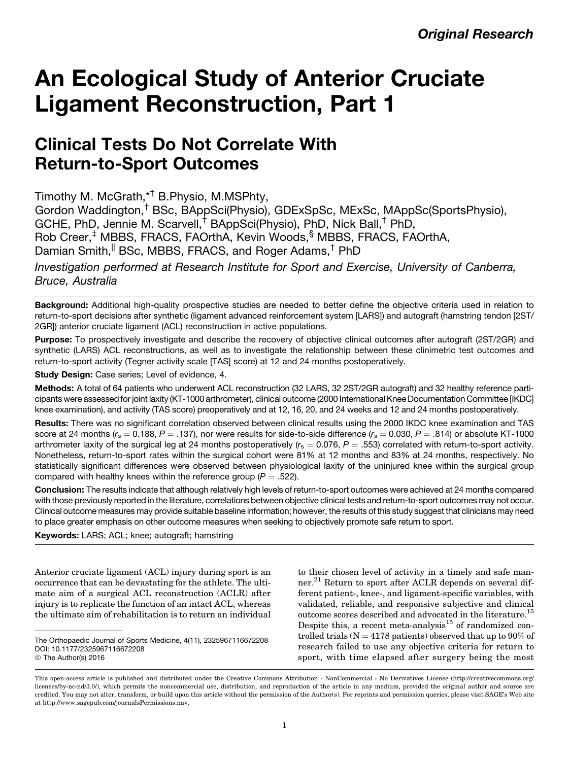# An Ecological Study of Anterior Cruciate Ligament Reconstruction, Part 1

# Clinical Tests Do Not Correlate With Return-to-Sport Outcomes

Timothy M. McGrath,\*† B.Physio, M.MSPhty,

Gordon Waddington,† BSc, BAppSci(Physio), GDExSpSc, MExSc, MAppSc(SportsPhysio), GCHE, PhD, Jennie M. Scarvell,† BAppSci(Physio), PhD, Nick Ball,† PhD, Rob Creer,<sup>‡</sup> MBBS, FRACS, FAOrthA, Kevin Woods, MBBS, FRACS, FAOrthA, Damian Smith, <sup>||</sup> BSc, MBBS, FRACS, and Roger Adams,<sup>†</sup> PhD

Investigation performed at Research Institute for Sport and Exercise, University of Canberra, Bruce, Australia

Background: Additional high-quality prospective studies are needed to better define the objective criteria used in relation to return-to-sport decisions after synthetic (ligament advanced reinforcement system [LARS]) and autograft (hamstring tendon [2ST/ 2GR]) anterior cruciate ligament (ACL) reconstruction in active populations.

Purpose: To prospectively investigate and describe the recovery of objective clinical outcomes after autograft (2ST/2GR) and synthetic (LARS) ACL reconstructions, as well as to investigate the relationship between these clinimetric test outcomes and return-to-sport activity (Tegner activity scale [TAS] score) at 12 and 24 months postoperatively.

Study Design: Case series; Level of evidence, 4.

Methods: A total of 64 patients who underwent ACL reconstruction (32 LARS, 32 2ST/2GR autograft) and 32 healthy reference participants were assessed for joint laxity (KT-1000 arthrometer), clinical outcome (2000 International Knee Documentation Committee [IKDC] knee examination), and activity (TAS score) preoperatively and at 12, 16, 20, and 24 weeks and 12 and 24 months postoperatively.

Results: There was no significant correlation observed between clinical results using the 2000 IKDC knee examination and TAS score at 24 months ( $r_s = 0.188$ ,  $P = .137$ ), nor were results for side-to-side difference ( $r_s = 0.030$ ,  $P = .814$ ) or absolute KT-1000 arthrometer laxity of the surgical leg at 24 months postoperatively  $(r_s = 0.076, P = .553)$  correlated with return-to-sport activity. Nonetheless, return-to-sport rates within the surgical cohort were 81% at 12 months and 83% at 24 months, respectively. No statistically significant differences were observed between physiological laxity of the uninjured knee within the surgical group compared with healthy knees within the reference group ( $P = .522$ ).

Conclusion: The results indicate that although relatively high levels of return-to-sport outcomes were achieved at 24 months compared with those previously reported in the literature, correlations between objective clinical tests and return-to-sport outcomes may not occur. Clinical outcome measures may provide suitable baseline information; however, the results of this study suggest that clinicians may need to place greater emphasis on other outcome measures when seeking to objectively promote safe return to sport.

Keywords: LARS; ACL; knee; autograft; hamstring

Anterior cruciate ligament (ACL) injury during sport is an occurrence that can be devastating for the athlete. The ultimate aim of a surgical ACL reconstruction (ACLR) after injury is to replicate the function of an intact ACL, whereas the ultimate aim of rehabilitation is to return an individual to their chosen level of activity in a timely and safe manner.<sup>21</sup> Return to sport after ACLR depends on several different patient-, knee-, and ligament-specific variables, with validated, reliable, and responsive subjective and clinical outcome scores described and advocated in the literature.<sup>15</sup> Despite this, a recent meta-analysis $15$  of randomized controlled trials ( $N = 4178$  patients) observed that up to 90% of research failed to use any objective criteria for return to sport, with time elapsed after surgery being the most

The Orthopaedic Journal of Sports Medicine, 4(11), 2325967116672208 DOI: 10.1177/2325967116672208 © The Author(s) 2016

This open-access article is published and distributed under the Creative Commons Attribution - NonCommercial - No Derivatives License (http://creativecommons.org/ licenses/by-nc-nd/3.0/), which permits the noncommercial use, distribution, and reproduction of the article in any medium, provided the original author and source are credited. You may not alter, transform, or build upon this article without the permission of the Author(s). For reprints and permission queries, please visit SAGE's Web site at http://www.sagepub.com/journalsPermissions.nav.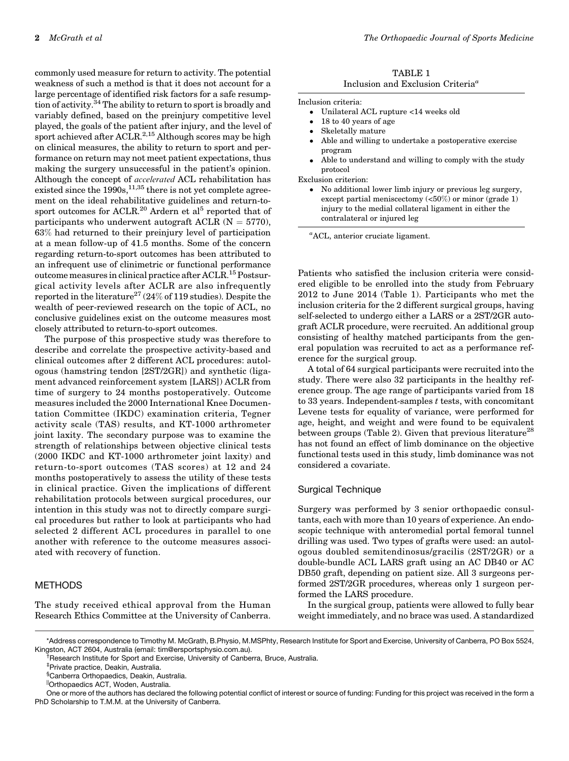commonly used measure for return to activity. The potential weakness of such a method is that it does not account for a large percentage of identified risk factors for a safe resumption of activity.<sup>34</sup> The ability to return to sport is broadly and variably defined, based on the preinjury competitive level played, the goals of the patient after injury, and the level of sport achieved after  $\Lambda$ CLR.<sup>2,15</sup> Although scores may be high on clinical measures, the ability to return to sport and performance on return may not meet patient expectations, thus making the surgery unsuccessful in the patient's opinion. Although the concept of accelerated ACL rehabilitation has existed since the  $1990s$ ,  $^{11,35}$  there is not yet complete agreement on the ideal rehabilitative guidelines and return-tosport outcomes for ACLR.<sup>20</sup> Ardern et al<sup>5</sup> reported that of participants who underwent autograft ACLR  $(N = 5770)$ , 63% had returned to their preinjury level of participation at a mean follow-up of 41.5 months. Some of the concern regarding return-to-sport outcomes has been attributed to an infrequent use of clinimetric or functional performance outcome measures in clinical practice after  $\text{ACLR}$ .<sup>15</sup> Postsurgical activity levels after ACLR are also infrequently reported in the literature<sup>27</sup> (24% of 119 studies). Despite the wealth of peer-reviewed research on the topic of ACL, no conclusive guidelines exist on the outcome measures most closely attributed to return-to-sport outcomes.

The purpose of this prospective study was therefore to describe and correlate the prospective activity-based and clinical outcomes after 2 different ACL procedures: autologous (hamstring tendon [2ST/2GR]) and synthetic (ligament advanced reinforcement system [LARS]) ACLR from time of surgery to 24 months postoperatively. Outcome measures included the 2000 International Knee Documentation Committee (IKDC) examination criteria, Tegner activity scale (TAS) results, and KT-1000 arthrometer joint laxity. The secondary purpose was to examine the strength of relationships between objective clinical tests (2000 IKDC and KT-1000 arthrometer joint laxity) and return-to-sport outcomes (TAS scores) at 12 and 24 months postoperatively to assess the utility of these tests in clinical practice. Given the implications of different rehabilitation protocols between surgical procedures, our intention in this study was not to directly compare surgical procedures but rather to look at participants who had selected 2 different ACL procedures in parallel to one another with reference to the outcome measures associated with recovery of function.

# METHODS

The study received ethical approval from the Human Research Ethics Committee at the University of Canberra.

| TABLE 1                                              |  |  |  |  |
|------------------------------------------------------|--|--|--|--|
| Inclusion and Exclusion Criteria <sup><i>a</i></sup> |  |  |  |  |

Inclusion criteria:

- $\bullet$ Unilateral ACL rupture <14 weeks old
- $\bullet$ 18 to 40 years of age
- $\bullet$ Skeletally mature
- $\bullet$  Able and willing to undertake a postoperative exercise program
- $\bullet$  Able to understand and willing to comply with the study protocol

Exclusion criterion:

- No additional lower limb injury or previous leg surgery, except partial meniscectomy (<50%) or minor (grade 1) injury to the medial collateral ligament in either the contralateral or injured leg

a ACL, anterior cruciate ligament.

Patients who satisfied the inclusion criteria were considered eligible to be enrolled into the study from February 2012 to June 2014 (Table 1). Participants who met the inclusion criteria for the 2 different surgical groups, having self-selected to undergo either a LARS or a 2ST/2GR autograft ACLR procedure, were recruited. An additional group consisting of healthy matched participants from the general population was recruited to act as a performance reference for the surgical group.

A total of 64 surgical participants were recruited into the study. There were also 32 participants in the healthy reference group. The age range of participants varied from 18 to 33 years. Independent-samples  $t$  tests, with concomitant Levene tests for equality of variance, were performed for age, height, and weight and were found to be equivalent between groups (Table 2). Given that previous literature<sup>28</sup> has not found an effect of limb dominance on the objective functional tests used in this study, limb dominance was not considered a covariate.

#### Surgical Technique

Surgery was performed by 3 senior orthopaedic consultants, each with more than 10 years of experience. An endoscopic technique with anteromedial portal femoral tunnel drilling was used. Two types of grafts were used: an autologous doubled semitendinosus/gracilis (2ST/2GR) or a double-bundle ACL LARS graft using an AC DB40 or AC DB50 graft, depending on patient size. All 3 surgeons performed 2ST/2GR procedures, whereas only 1 surgeon performed the LARS procedure.

In the surgical group, patients were allowed to fully bear weight immediately, and no brace was used. A standardized

‡ Private practice, Deakin, Australia.

<sup>\*</sup>Address correspondence to Timothy M. McGrath, B.Physio, M.MSPhty, Research Institute for Sport and Exercise, University of Canberra, PO Box 5524, Kingston, ACT 2604, Australia (email: [tim@ersportsphysio.com.au](mailto:tim@ersportsphysio.com.au)). †

<sup>&</sup>lt;sup>†</sup>Research Institute for Sport and Exercise, University of Canberra, Bruce, Australia.

<sup>§</sup> Canberra Orthopaedics, Deakin, Australia.

<sup>||</sup>Orthopaedics ACT, Woden, Australia.

One or more of the authors has declared the following potential conflict of interest or source of funding: Funding for this project was received in the form a PhD Scholarship to T.M.M. at the University of Canberra.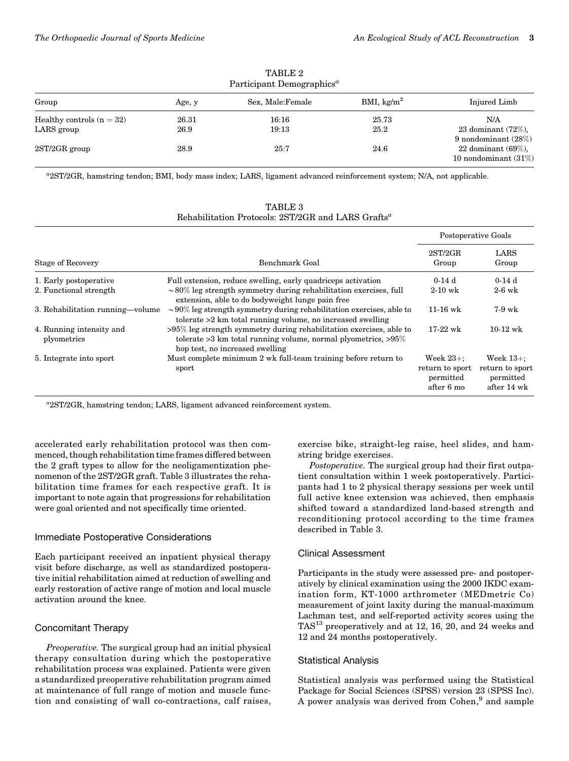| Participant Demographics <sup>a</sup>     |               |                   |                        |                                                                             |  |
|-------------------------------------------|---------------|-------------------|------------------------|-----------------------------------------------------------------------------|--|
| Group                                     | Age, y        | Sex, Male: Female | BMI, kg/m <sup>2</sup> | Injured Limb                                                                |  |
| Healthy controls $(n = 32)$<br>LARS group | 26.31<br>26.9 | 16:16<br>19:13    | 25.73<br>25.2          | N/A<br>23 dominant $(72\%)$ ,                                               |  |
| $2ST/2GR$ group                           | 28.9          | 25:7              | 24.6                   | 9 nondominant $(28\%)$<br>22 dominant $(69\%)$ ,<br>10 nondominant $(31\%)$ |  |

TABLE 2

a 2ST/2GR, hamstring tendon; BMI, body mass index; LARS, ligament advanced reinforcement system; N/A, not applicable.

|                                         |                                                                                                                                                                                 | Postoperative Goals                                        |                                                             |  |
|-----------------------------------------|---------------------------------------------------------------------------------------------------------------------------------------------------------------------------------|------------------------------------------------------------|-------------------------------------------------------------|--|
| Stage of Recovery                       | Benchmark Goal                                                                                                                                                                  | 2ST/2GR<br>Group                                           | LARS<br>Group                                               |  |
| 1. Early postoperative                  | Full extension, reduce swelling, early quadriceps activation                                                                                                                    | $0-14d$                                                    | $0-14d$                                                     |  |
| 2. Functional strength                  | $\sim$ 80% leg strength symmetry during rehabilitation exercises, full<br>extension, able to do bodyweight lunge pain free                                                      | $2-10$ wk                                                  | $2-6$ wk                                                    |  |
| 3. Rehabilitation running—volume        | $\sim$ 90% leg strength symmetry during rehabilitation exercises, able to<br>tolerate >2 km total running volume, no increased swelling                                         | $11-16$ wk                                                 | $7-9$ wk                                                    |  |
| 4. Running intensity and<br>plyometrics | $>95\%$ leg strength symmetry during rehabilitation exercises, able to<br>tolerate $>3$ km total running volume, normal plyometrics, $>95\%$<br>hop test, no increased swelling | $17-22$ wk                                                 | $10-12$ wk                                                  |  |
| 5. Integrate into sport                 | Must complete minimum 2 wk full-team training before return to<br>sport                                                                                                         | Week $23+$ :<br>return to sport<br>permitted<br>after 6 mo | Week $13+$ :<br>return to sport<br>permitted<br>after 14 wk |  |

TABLE 3 Rehabilitation Protocols:  $2ST/2GR$  and LARS  $Grafts<sup>a</sup>$ 

a 2ST/2GR, hamstring tendon; LARS, ligament advanced reinforcement system.

accelerated early rehabilitation protocol was then commenced, though rehabilitation time frames differed between the 2 graft types to allow for the neoligamentization phenomenon of the 2ST/2GR graft. Table 3 illustrates the rehabilitation time frames for each respective graft. It is important to note again that progressions for rehabilitation were goal oriented and not specifically time oriented.

## Immediate Postoperative Considerations

Each participant received an inpatient physical therapy visit before discharge, as well as standardized postoperative initial rehabilitation aimed at reduction of swelling and early restoration of active range of motion and local muscle activation around the knee.

# Concomitant Therapy

Preoperative. The surgical group had an initial physical therapy consultation during which the postoperative rehabilitation process was explained. Patients were given a standardized preoperative rehabilitation program aimed at maintenance of full range of motion and muscle function and consisting of wall co-contractions, calf raises, exercise bike, straight-leg raise, heel slides, and hamstring bridge exercises.

Postoperative. The surgical group had their first outpatient consultation within 1 week postoperatively. Participants had 1 to 2 physical therapy sessions per week until full active knee extension was achieved, then emphasis shifted toward a standardized land-based strength and reconditioning protocol according to the time frames described in Table 3.

# Clinical Assessment

Participants in the study were assessed pre- and postoperatively by clinical examination using the 2000 IKDC examination form, KT-1000 arthrometer (MEDmetric Co) measurement of joint laxity during the manual-maximum Lachman test, and self-reported activity scores using the TAS<sup>13</sup> preoperatively and at 12, 16, 20, and 24 weeks and 12 and 24 months postoperatively.

# Statistical Analysis

Statistical analysis was performed using the Statistical Package for Social Sciences (SPSS) version 23 (SPSS Inc). A power analysis was derived from Cohen,<sup>9</sup> and sample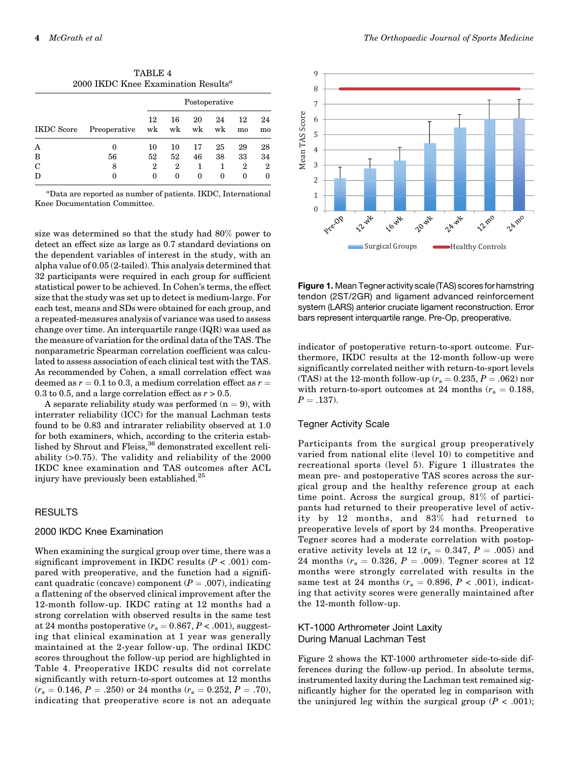| 2000 IKDC Knee Examination Results <sup>a</sup> |              |                      |    |             |          |          |          |
|-------------------------------------------------|--------------|----------------------|----|-------------|----------|----------|----------|
|                                                 |              | Postoperative        |    |             |          |          |          |
| <b>IKDC</b> Score                               | Preoperative | 12<br>w <sub>k</sub> | 16 | 20<br>wk wk | 24<br>wk | 12<br>mo | 24<br>mo |
| Α                                               | 0            | 10                   | 10 | 17          | 25       | 29       | 28       |
| B                                               | 56           | 52                   | 52 | 46          | 38       | 33       | 34       |
| C                                               | 8            | $\overline{2}$       | 2  | 1           | 1        | 2        | 2        |
|                                                 |              | 0                    | 0  | 0           | 0        | 0        |          |

TABLE 4

a Data are reported as number of patients. IKDC, International Knee Documentation Committee.

size was determined so that the study had 80% power to detect an effect size as large as 0.7 standard deviations on the dependent variables of interest in the study, with an alpha value of 0.05 (2-tailed). This analysis determined that 32 participants were required in each group for sufficient statistical power to be achieved. In Cohen's terms, the effect size that the study was set up to detect is medium-large. For each test, means and SDs were obtained for each group, and a repeated-measures analysis of variance was used to assess change over time. An interquartile range (IQR) was used as the measure of variation for the ordinal data of the TAS. The nonparametric Spearman correlation coefficient was calculated to assess association of each clinical test with the TAS. As recommended by Cohen, a small correlation effect was deemed as  $r = 0.1$  to 0.3, a medium correlation effect as  $r =$ 0.3 to 0.5, and a large correlation effect as  $r > 0.5$ .

A separate reliability study was performed  $(n = 9)$ , with interrater reliability (ICC) for the manual Lachman tests found to be 0.83 and intrarater reliability observed at 1.0 for both examiners, which, according to the criteria established by Shrout and Fleiss,<sup>36</sup> demonstrated excellent reliability (>0.75). The validity and reliability of the 2000 IKDC knee examination and TAS outcomes after ACL injury have previously been established.<sup>25</sup>

#### RESULTS

# 2000 IKDC Knee Examination

When examining the surgical group over time, there was a significant improvement in IKDC results  $(P < .001)$  compared with preoperative, and the function had a significant quadratic (concave) component ( $P = .007$ ), indicating a flattening of the observed clinical improvement after the 12-month follow-up. IKDC rating at 12 months had a strong correlation with observed results in the same test at 24 months postoperative  $(r<sub>s</sub> = 0.867, P < .001)$ , suggesting that clinical examination at 1 year was generally maintained at the 2-year follow-up. The ordinal IKDC scores throughout the follow-up period are highlighted in Table 4. Preoperative IKDC results did not correlate significantly with return-to-sport outcomes at 12 months  $(r<sub>s</sub> = 0.146, P = .250)$  or 24 months  $(r<sub>s</sub> = 0.252, P = .70)$ , indicating that preoperative score is not an adequate



Figure 1. Mean Tegner activity scale (TAS) scores for hamstring tendon (2ST/2GR) and ligament advanced reinforcement system (LARS) anterior cruciate ligament reconstruction. Error bars represent interquartile range. Pre-Op, preoperative.

indicator of postoperative return-to-sport outcome. Furthermore, IKDC results at the 12-month follow-up were significantly correlated neither with return-to-sport levels (TAS) at the 12-month follow-up ( $r_s = 0.235$ ,  $P = .062$ ) nor with return-to-sport outcomes at 24 months ( $r_s = 0.188$ ,  $P = .137$ ).

#### Tegner Activity Scale

Participants from the surgical group preoperatively varied from national elite (level 10) to competitive and recreational sports (level 5). Figure 1 illustrates the mean pre- and postoperative TAS scores across the surgical group and the healthy reference group at each time point. Across the surgical group, 81% of participants had returned to their preoperative level of activity by 12 months, and 83% had returned to preoperative levels of sport by 24 months. Preoperative Tegner scores had a moderate correlation with postoperative activity levels at 12 ( $r_s = 0.347$ ,  $P = .005$ ) and 24 months ( $r_s = 0.326$ ,  $P = .009$ ). Tegner scores at 12 months were strongly correlated with results in the same test at 24 months ( $r_s = 0.896$ ,  $P < .001$ ), indicating that activity scores were generally maintained after the 12-month follow-up.

# KT-1000 Arthrometer Joint Laxity During Manual Lachman Test

Figure 2 shows the KT-1000 arthrometer side-to-side differences during the follow-up period. In absolute terms, instrumented laxity during the Lachman test remained significantly higher for the operated leg in comparison with the uninjured leg within the surgical group  $(P < .001)$ ;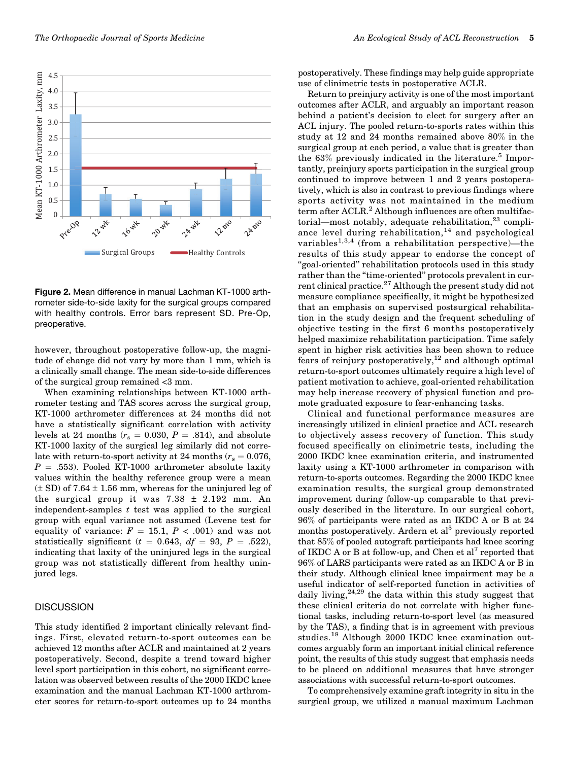

Figure 2. Mean difference in manual Lachman KT-1000 arthrometer side-to-side laxity for the surgical groups compared with healthy controls. Error bars represent SD. Pre-Op, preoperative.

however, throughout postoperative follow-up, the magnitude of change did not vary by more than 1 mm, which is a clinically small change. The mean side-to-side differences of the surgical group remained <3 mm.

When examining relationships between KT-1000 arthrometer testing and TAS scores across the surgical group, KT-1000 arthrometer differences at 24 months did not have a statistically significant correlation with activity levels at 24 months ( $r_s = 0.030, P = .814$ ), and absolute KT-1000 laxity of the surgical leg similarly did not correlate with return-to-sport activity at 24 months  $(r_s = 0.076, ...)$  $P = .553$ ). Pooled KT-1000 arthrometer absolute laxity values within the healthy reference group were a mean  $(\pm SD)$  of 7.64  $\pm 1.56$  mm, whereas for the uninjured leg of the surgical group it was  $7.38 \pm 2.192$  mm. An independent-samples  $t$  test was applied to the surgical group with equal variance not assumed (Levene test for equality of variance:  $F = 15.1, P < .001$ ) and was not statistically significant ( $t = 0.643$ ,  $df = 93$ ,  $P = .522$ ), indicating that laxity of the uninjured legs in the surgical group was not statistically different from healthy uninjured legs.

#### **DISCUSSION**

This study identified 2 important clinically relevant findings. First, elevated return-to-sport outcomes can be achieved 12 months after ACLR and maintained at 2 years postoperatively. Second, despite a trend toward higher level sport participation in this cohort, no significant correlation was observed between results of the 2000 IKDC knee examination and the manual Lachman KT-1000 arthrometer scores for return-to-sport outcomes up to 24 months postoperatively. These findings may help guide appropriate use of clinimetric tests in postoperative ACLR.

Return to preinjury activity is one of the most important outcomes after ACLR, and arguably an important reason behind a patient's decision to elect for surgery after an ACL injury. The pooled return-to-sports rates within this study at 12 and 24 months remained above 80% in the surgical group at each period, a value that is greater than the  $63\%$  previously indicated in the literature.<sup>5</sup> Importantly, preinjury sports participation in the surgical group continued to improve between 1 and 2 years postoperatively, which is also in contrast to previous findings where sports activity was not maintained in the medium term after ACLR.<sup>2</sup> Although influences are often multifactorial—most notably, adequate rehabilitation, $^{23}$  compliance level during rehabilitation, $14$  and psychological variables<sup>1,3,4</sup> (from a rehabilitation perspective)—the results of this study appear to endorse the concept of "goal-oriented" rehabilitation protocols used in this study rather than the "time-oriented" protocols prevalent in current clinical practice.<sup>27</sup> Although the present study did not measure compliance specifically, it might be hypothesized that an emphasis on supervised postsurgical rehabilitation in the study design and the frequent scheduling of objective testing in the first 6 months postoperatively helped maximize rehabilitation participation. Time safely spent in higher risk activities has been shown to reduce fears of reinjury postoperatively, $^{12}$  and although optimal return-to-sport outcomes ultimately require a high level of patient motivation to achieve, goal-oriented rehabilitation may help increase recovery of physical function and promote graduated exposure to fear-enhancing tasks.

Clinical and functional performance measures are increasingly utilized in clinical practice and ACL research to objectively assess recovery of function. This study focused specifically on clinimetric tests, including the 2000 IKDC knee examination criteria, and instrumented laxity using a KT-1000 arthrometer in comparison with return-to-sports outcomes. Regarding the 2000 IKDC knee examination results, the surgical group demonstrated improvement during follow-up comparable to that previously described in the literature. In our surgical cohort, 96% of participants were rated as an IKDC A or B at 24 months postoperatively. Ardern et al<sup>5</sup> previously reported that 85% of pooled autograft participants had knee scoring of IKDC A or B at follow-up, and Chen et  $al<sup>7</sup>$  reported that 96% of LARS participants were rated as an IKDC A or B in their study. Although clinical knee impairment may be a useful indicator of self-reported function in activities of daily living,  $24,29$  the data within this study suggest that these clinical criteria do not correlate with higher functional tasks, including return-to-sport level (as measured by the TAS), a finding that is in agreement with previous studies.<sup>18</sup> Although 2000 IKDC knee examination outcomes arguably form an important initial clinical reference point, the results of this study suggest that emphasis needs to be placed on additional measures that have stronger associations with successful return-to-sport outcomes.

To comprehensively examine graft integrity in situ in the surgical group, we utilized a manual maximum Lachman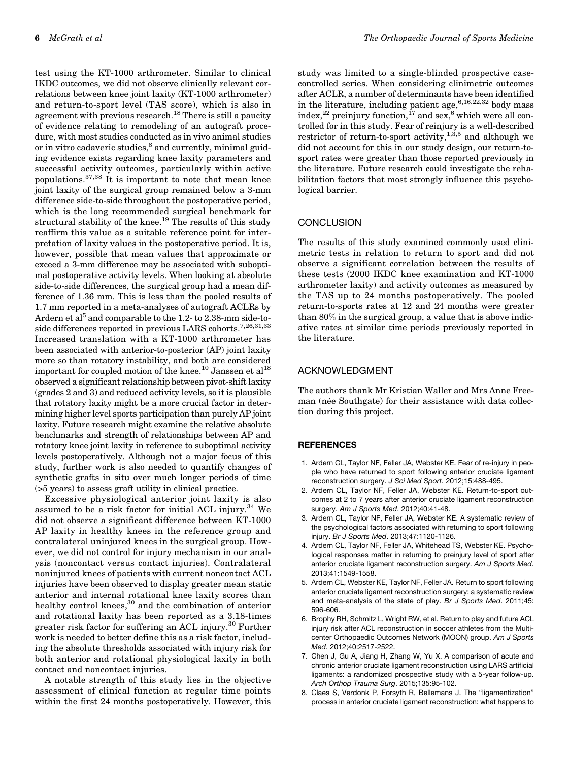test using the KT-1000 arthrometer. Similar to clinical IKDC outcomes, we did not observe clinically relevant correlations between knee joint laxity (KT-1000 arthrometer) and return-to-sport level (TAS score), which is also in agreement with previous research.<sup>18</sup> There is still a paucity of evidence relating to remodeling of an autograft procedure, with most studies conducted as in vivo animal studies or in vitro cadaveric studies, ${}^{8}$  and currently, minimal guiding evidence exists regarding knee laxity parameters and successful activity outcomes, particularly within active populations.37,38 It is important to note that mean knee joint laxity of the surgical group remained below a 3-mm difference side-to-side throughout the postoperative period, which is the long recommended surgical benchmark for structural stability of the knee.<sup>19</sup> The results of this study reaffirm this value as a suitable reference point for interpretation of laxity values in the postoperative period. It is, however, possible that mean values that approximate or exceed a 3-mm difference may be associated with suboptimal postoperative activity levels. When looking at absolute side-to-side differences, the surgical group had a mean difference of 1.36 mm. This is less than the pooled results of 1.7 mm reported in a meta-analyses of autograft ACLRs by Ardern et al<sup>5</sup> and comparable to the 1.2- to 2.38-mm side-toside differences reported in previous LARS cohorts.<sup>7,26,31,33</sup> Increased translation with a KT-1000 arthrometer has been associated with anterior-to-posterior (AP) joint laxity more so than rotatory instability, and both are considered important for coupled motion of the knee.<sup>10</sup> Janssen et al<sup>18</sup> observed a significant relationship between pivot-shift laxity (grades 2 and 3) and reduced activity levels, so it is plausible that rotatory laxity might be a more crucial factor in determining higher level sports participation than purely AP joint laxity. Future research might examine the relative absolute benchmarks and strength of relationships between AP and rotatory knee joint laxity in reference to suboptimal activity levels postoperatively. Although not a major focus of this study, further work is also needed to quantify changes of synthetic grafts in situ over much longer periods of time (>5 years) to assess graft utility in clinical practice.

Excessive physiological anterior joint laxity is also assumed to be a risk factor for initial ACL injury.<sup>34</sup> We did not observe a significant difference between KT-1000 AP laxity in healthy knees in the reference group and contralateral uninjured knees in the surgical group. However, we did not control for injury mechanism in our analysis (noncontact versus contact injuries). Contralateral noninjured knees of patients with current noncontact ACL injuries have been observed to display greater mean static anterior and internal rotational knee laxity scores than healthy control knees,<sup>30</sup> and the combination of anterior and rotational laxity has been reported as a 3.18-times greater risk factor for suffering an ACL injury.<sup>30</sup> Further work is needed to better define this as a risk factor, including the absolute thresholds associated with injury risk for both anterior and rotational physiological laxity in both contact and noncontact injuries.

A notable strength of this study lies in the objective assessment of clinical function at regular time points within the first 24 months postoperatively. However, this

study was limited to a single-blinded prospective casecontrolled series. When considering clinimetric outcomes after ACLR, a number of determinants have been identified in the literature, including patient age,  $6,16,22,32$  body mass index,<sup>22</sup> preinjury function,<sup>17</sup> and sex,<sup>6</sup> which were all controlled for in this study. Fear of reinjury is a well-described restrictor of return-to-sport activity,<sup>1,3,5</sup> and although we did not account for this in our study design, our return-tosport rates were greater than those reported previously in the literature. Future research could investigate the rehabilitation factors that most strongly influence this psychological barrier.

#### **CONCLUSION**

The results of this study examined commonly used clinimetric tests in relation to return to sport and did not observe a significant correlation between the results of these tests (2000 IKDC knee examination and KT-1000 arthrometer laxity) and activity outcomes as measured by the TAS up to 24 months postoperatively. The pooled return-to-sports rates at 12 and 24 months were greater than 80% in the surgical group, a value that is above indicative rates at similar time periods previously reported in the literature.

### ACKNOWLEDGMENT

The authors thank Mr Kristian Waller and Mrs Anne Freeman (née Southgate) for their assistance with data collection during this project.

#### **REFERENCES**

- 1. Ardern CL, Taylor NF, Feller JA, Webster KE. Fear of re-injury in people who have returned to sport following anterior cruciate ligament reconstruction surgery. J Sci Med Sport. 2012;15:488-495.
- 2. Ardern CL, Taylor NF, Feller JA, Webster KE. Return-to-sport outcomes at 2 to 7 years after anterior cruciate ligament reconstruction surgery. Am J Sports Med. 2012;40:41-48.
- 3. Ardern CL, Taylor NF, Feller JA, Webster KE. A systematic review of the psychological factors associated with returning to sport following injury. Br J Sports Med. 2013;47:1120-1126.
- 4. Ardern CL, Taylor NF, Feller JA, Whitehead TS, Webster KE. Psychological responses matter in returning to preinjury level of sport after anterior cruciate ligament reconstruction surgery. Am J Sports Med. 2013;41:1549-1558.
- 5. Ardern CL, Webster KE, Taylor NF, Feller JA. Return to sport following anterior cruciate ligament reconstruction surgery: a systematic review and meta-analysis of the state of play. Br J Sports Med. 2011;45: 596-606.
- 6. Brophy RH, Schmitz L, Wright RW, et al. Return to play and future ACL injury risk after ACL reconstruction in soccer athletes from the Multicenter Orthopaedic Outcomes Network (MOON) group. Am J Sports Med. 2012;40:2517-2522.
- 7. Chen J, Gu A, Jiang H, Zhang W, Yu X. A comparison of acute and chronic anterior cruciate ligament reconstruction using LARS artificial ligaments: a randomized prospective study with a 5-year follow-up. Arch Orthop Trauma Surg. 2015;135:95-102.
- 8. Claes S, Verdonk P, Forsyth R, Bellemans J. The "ligamentization" process in anterior cruciate ligament reconstruction: what happens to